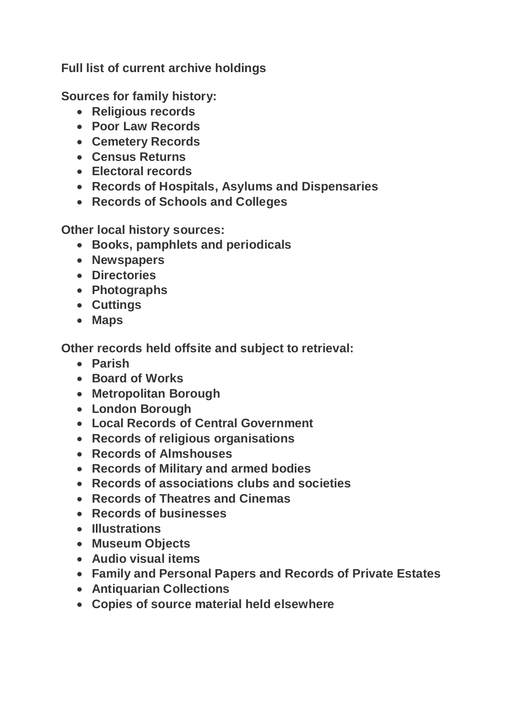**Full list of current archive holdings**

**Sources for family history:**

- **Religious records**
- **Poor Law Records**
- **Cemetery Records**
- **Census Returns**
- **Electoral records**
- **Records of Hospitals, Asylums and Dispensaries**
- **Records of Schools and Colleges**

**Other local history sources:**

- **Books, pamphlets and periodicals**
- **Newspapers**
- **Directories**
- **Photographs**
- **Cuttings**
- **Maps**

**Other records held offsite and subject to retrieval:**

- **Parish**
- **Board of Works**
- **Metropolitan Borough**
- **London Borough**
- **Local Records of Central Government**
- **Records of religious organisations**
- **Records of Almshouses**
- **Records of Military and armed bodies**
- **Records of associations clubs and societies**
- **Records of Theatres and Cinemas**
- **Records of businesses**
- **Illustrations**
- **Museum Objects**
- **Audio visual items**
- **Family and Personal Papers and Records of Private Estates**
- **Antiquarian Collections**
- **Copies of source material held elsewhere**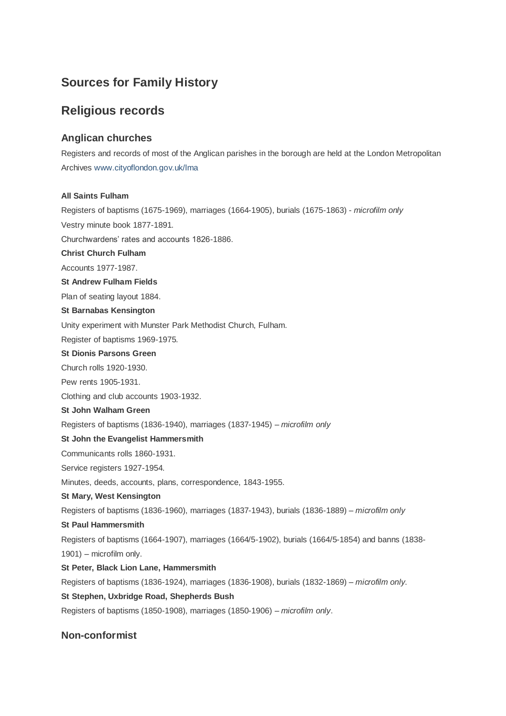# **Sources for Family History**

# **Religious records**

## **Anglican churches**

Registers and records of most of the Anglican parishes in the borough are held at the London Metropolitan Archives [www.cityoflondon.gov.uk/lma](http://www.cityoflondon.gov.uk/lma)

## **All Saints Fulham**

Registers of baptisms (1675-1969), marriages (1664-1905), burials (1675-1863) - *microfilm only* Vestry minute book 1877-1891. Churchwardens' rates and accounts 1826-1886. **Christ Church Fulham** Accounts 1977-1987. **St Andrew Fulham Fields**  Plan of seating layout 1884. **St Barnabas Kensington** Unity experiment with Munster Park Methodist Church, Fulham. Register of baptisms 1969-1975. **St Dionis Parsons Green** Church rolls 1920-1930. Pew rents 1905-1931. Clothing and club accounts 1903-1932. **St John Walham Green** Registers of baptisms (1836-1940), marriages (1837-1945) – *microfilm only* **St John the Evangelist Hammersmith** Communicants rolls 1860-1931. Service registers 1927-1954. Minutes, deeds, accounts, plans, correspondence, 1843-1955. **St Mary, West Kensington** Registers of baptisms (1836-1960), marriages (1837-1943), burials (1836-1889) – *microfilm only* **St Paul Hammersmith** Registers of baptisms (1664-1907), marriages (1664/5-1902), burials (1664/5-1854) and banns (1838- 1901) – microfilm only. **St Peter, Black Lion Lane, Hammersmith** Registers of baptisms (1836-1924), marriages (1836-1908), burials (1832-1869) – *microfilm only*. **St Stephen, Uxbridge Road, Shepherds Bush** Registers of baptisms (1850-1908), marriages (1850-1906) – *microfilm only*.

## **Non-conformist**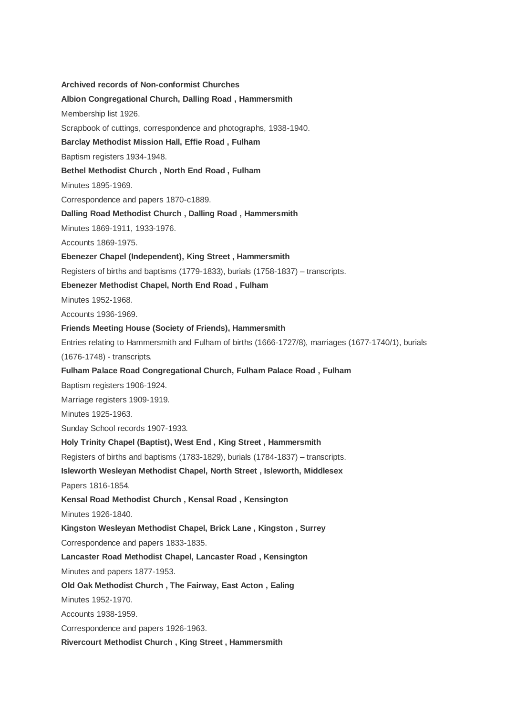**Archived records of Non-conformist Churches Albion Congregational Church, Dalling Road , Hammersmith** Membership list 1926. Scrapbook of cuttings, correspondence and photographs, 1938-1940. **Barclay Methodist Mission Hall, Effie Road , Fulham** Baptism registers 1934-1948. **Bethel Methodist Church , North End Road , Fulham** Minutes 1895-1969. Correspondence and papers 1870-c1889. **Dalling Road Methodist Church , Dalling Road , Hammersmith** Minutes 1869-1911, 1933-1976. Accounts 1869-1975. **Ebenezer Chapel (Independent), King Street , Hammersmith** Registers of births and baptisms (1779-1833), burials (1758-1837) – transcripts. **Ebenezer Methodist Chapel, North End Road , Fulham** Minutes 1952-1968. Accounts 1936-1969. **Friends Meeting House (Society of Friends), Hammersmith** Entries relating to Hammersmith and Fulham of births (1666-1727/8), marriages (1677-1740/1), burials (1676-1748) - transcripts. **Fulham Palace Road Congregational Church, Fulham Palace Road , Fulham** Baptism registers 1906-1924. Marriage registers 1909-1919. Minutes 1925-1963. Sunday School records 1907-1933. **Holy Trinity Chapel (Baptist), West End , King Street , Hammersmith** Registers of births and baptisms (1783-1829), burials (1784-1837) – transcripts. **Isleworth Wesleyan Methodist Chapel, North Street , Isleworth, Middlesex** Papers 1816-1854. **Kensal Road Methodist Church , Kensal Road , Kensington** Minutes 1926-1840. **Kingston Wesleyan Methodist Chapel, Brick Lane , Kingston , Surrey** Correspondence and papers 1833-1835. **Lancaster Road Methodist Chapel, Lancaster Road , Kensington** Minutes and papers 1877-1953. **Old Oak Methodist Church , The Fairway, East Acton , Ealing** Minutes 1952-1970. Accounts 1938-1959. Correspondence and papers 1926-1963. **Rivercourt Methodist Church , King Street , Hammersmith**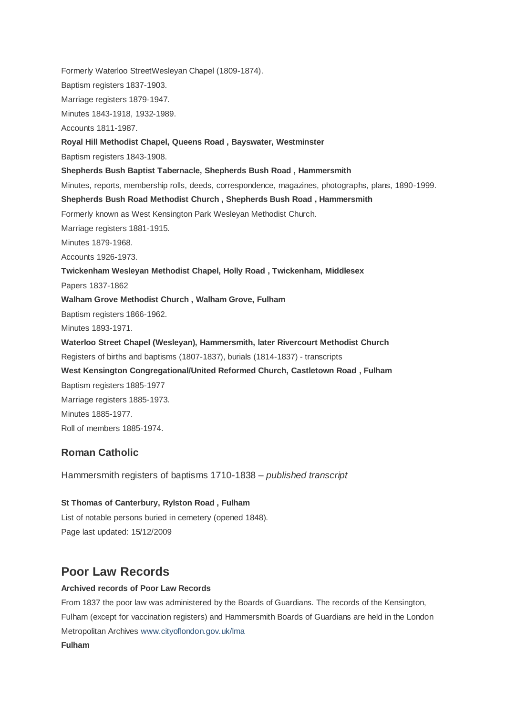Formerly Waterloo StreetWesleyan Chapel (1809-1874). Baptism registers 1837-1903. Marriage registers 1879-1947. Minutes 1843-1918, 1932-1989. Accounts 1811-1987. **Royal Hill Methodist Chapel, Queens Road , Bayswater, Westminster** Baptism registers 1843-1908. **Shepherds Bush Baptist Tabernacle, Shepherds Bush Road , Hammersmith** Minutes, reports, membership rolls, deeds, correspondence, magazines, photographs, plans, 1890-1999. **Shepherds Bush Road Methodist Church , Shepherds Bush Road , Hammersmith** Formerly known as West Kensington Park Wesleyan Methodist Church. Marriage registers 1881-1915. Minutes 1879-1968. Accounts 1926-1973. **Twickenham Wesleyan Methodist Chapel, Holly Road , Twickenham, Middlesex** Papers 1837-1862 **Walham Grove Methodist Church , Walham Grove, Fulham** Baptism registers 1866-1962. Minutes 1893-1971. **Waterloo Street Chapel (Wesleyan), Hammersmith, later Rivercourt Methodist Church** Registers of births and baptisms (1807-1837), burials (1814-1837) - transcripts **West Kensington Congregational/United Reformed Church, Castletown Road , Fulham** Baptism registers 1885-1977 Marriage registers 1885-1973. Minutes 1885-1977. Roll of members 1885-1974.

## **Roman Catholic**

Hammersmith registers of baptisms 1710-1838 – *published transcript*

**St Thomas of Canterbury, Rylston Road , Fulham** List of notable persons buried in cemetery (opened 1848). Page last updated: 15/12/2009

# **Poor Law Records**

## **Archived records of Poor Law Records**

From 1837 the poor law was administered by the Boards of Guardians. The records of the Kensington, Fulham (except for vaccination registers) and Hammersmith Boards of Guardians are held in the London Metropolitan Archives [www.cityoflondon.gov.uk/lma](http://www.cityoflondon.gov.uk/lma) **Fulham**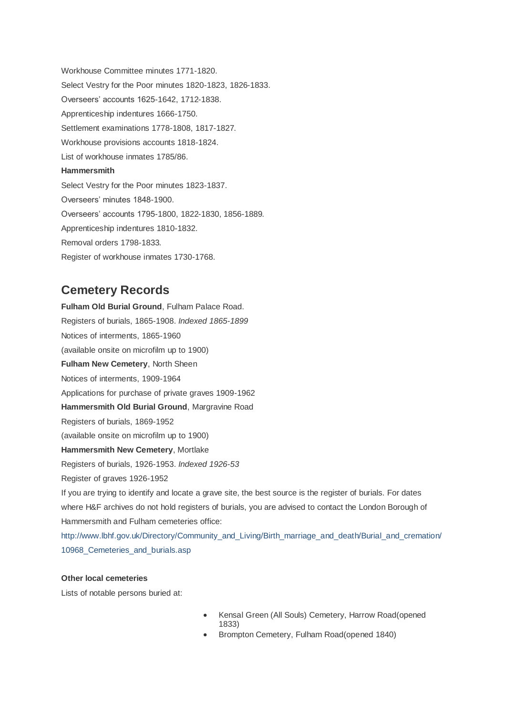Workhouse Committee minutes 1771-1820. Select Vestry for the Poor minutes 1820-1823, 1826-1833. Overseers' accounts 1625-1642, 1712-1838. Apprenticeship indentures 1666-1750. Settlement examinations 1778-1808, 1817-1827. Workhouse provisions accounts 1818-1824. List of workhouse inmates 1785/86. **Hammersmith** Select Vestry for the Poor minutes 1823-1837. Overseers' minutes 1848-1900. Overseers' accounts 1795-1800, 1822-1830, 1856-1889. Apprenticeship indentures 1810-1832. Removal orders 1798-1833. Register of workhouse inmates 1730-1768.

# **Cemetery Records**

**Fulham Old Burial Ground**, Fulham Palace Road. Registers of burials, 1865-1908. *Indexed 1865-1899* Notices of interments, 1865-1960 (available onsite on microfilm up to 1900) **Fulham New Cemetery**, North Sheen Notices of interments, 1909-1964 Applications for purchase of private graves 1909-1962 **Hammersmith Old Burial Ground**, Margravine Road Registers of burials, 1869-1952 (available onsite on microfilm up to 1900) **Hammersmith New Cemetery**, Mortlake Registers of burials, 1926-1953. *Indexed 1926-53* Register of graves 1926-1952 If you are trying to identify and locate a grave site, the best source is the register of burials. For dates where H&F archives do not hold registers of burials, you are advised to contact the London Borough of Hammersmith and Fulham cemeteries office: [http://www.lbhf.gov.uk/Directory/Community\\_and\\_Living/Birth\\_marriage\\_and\\_death/Burial\\_and\\_cremation/](http://www.lbhf.gov.uk/Directory/Community_and_Living/Birth_marriage_and_death/Burial_and_cremation/10968_Cemeteries_and_burials.asp)

10968 Cemeteries and burials.asp

## **Other local cemeteries**

Lists of notable persons buried at:

- Kensal Green (All Souls) Cemetery, Harrow Road(opened 1833)
- Brompton Cemetery, Fulham Road(opened 1840)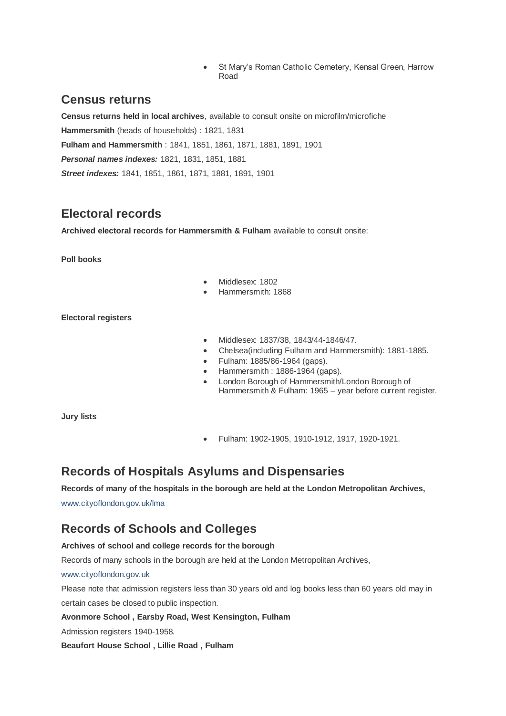St Mary's Roman Catholic Cemetery, Kensal Green, Harrow Road

# **Census returns**

**Census returns held in local archives**, available to consult onsite on microfilm/microfiche **Hammersmith** (heads of households) : 1821, 1831 **Fulham and Hammersmith** : 1841, 1851, 1861, 1871, 1881, 1891, 1901 *Personal names indexes:* 1821, 1831, 1851, 1881 *Street indexes:* 1841, 1851, 1861, 1871, 1881, 1891, 1901

# **Electoral records**

**Archived electoral records for Hammersmith & Fulham** available to consult onsite:

**Poll books**

- $\bullet$  Middlesex: 1802
- Hammersmith: 1868

**Electoral registers**

- Middlesex: 1837/38, 1843/44-1846/47.
- Chelsea(including Fulham and Hammersmith): 1881-1885.
- Fulham: 1885/86-1964 (gaps).
- Hammersmith : 1886-1964 (gaps).
- London Borough of Hammersmith/London Borough of Hammersmith & Fulham: 1965 – year before current register.

**Jury lists**

Fulham: 1902-1905, 1910-1912, 1917, 1920-1921.

# **Records of Hospitals Asylums and Dispensaries**

## **Records of many of the hospitals in the borough are held at the London Metropolitan Archives,**

[www.cityoflondon.gov.uk/lma](http://www.cityoflondon.gov.uk/lma)

# **Records of Schools and Colleges**

## **Archives of school and college records for the borough**

Records of many schools in the borough are held at the London Metropolitan Archives,

## [www.cityoflondon.gov.uk](http://www.cityoflondon.gov.uk/)

Please note that admission registers less than 30 years old and log books less than 60 years old may in certain cases be closed to public inspection.

## **Avonmore School , Earsby Road, West Kensington, Fulham**

Admission registers 1940-1958.

**Beaufort House School , Lillie Road , Fulham**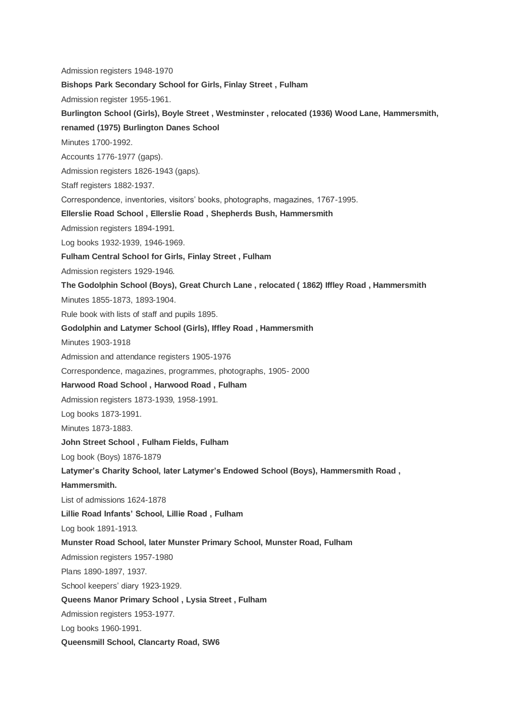Admission registers 1948-1970 **Bishops Park Secondary School for Girls, Finlay Street , Fulham** Admission register 1955-1961. **Burlington School (Girls), Boyle Street , Westminster , relocated (1936) Wood Lane, Hammersmith, renamed (1975) Burlington Danes School** Minutes 1700-1992. Accounts 1776-1977 (gaps). Admission registers 1826-1943 (gaps). Staff registers 1882-1937. Correspondence, inventories, visitors' books, photographs, magazines, 1767-1995. **Ellerslie Road School , Ellerslie Road , Shepherds Bush, Hammersmith** Admission registers 1894-1991. Log books 1932-1939, 1946-1969. **Fulham Central School for Girls, Finlay Street , Fulham** Admission registers 1929-1946. **The Godolphin School (Boys), Great Church Lane , relocated ( 1862) Iffley Road , Hammersmith** Minutes 1855-1873, 1893-1904. Rule book with lists of staff and pupils 1895. **Godolphin and Latymer School (Girls), Iffley Road , Hammersmith** Minutes 1903-1918 Admission and attendance registers 1905-1976 Correspondence, magazines, programmes, photographs, 1905- 2000 **Harwood Road School , Harwood Road , Fulham** Admission registers 1873-1939, 1958-1991. Log books 1873-1991. Minutes 1873-1883. **John Street School , Fulham Fields, Fulham** Log book (Boys) 1876-1879 **Latymer's Charity School, later Latymer's Endowed School (Boys), Hammersmith Road , Hammersmith.** List of admissions 1624-1878 **Lillie Road Infants' School, Lillie Road , Fulham** Log book 1891-1913. **Munster Road School, later Munster Primary School, Munster Road, Fulham** Admission registers 1957-1980 Plans 1890-1897, 1937. School keepers' diary 1923-1929. **Queens Manor Primary School , Lysia Street , Fulham** Admission registers 1953-1977. Log books 1960-1991. **Queensmill School, Clancarty Road, SW6**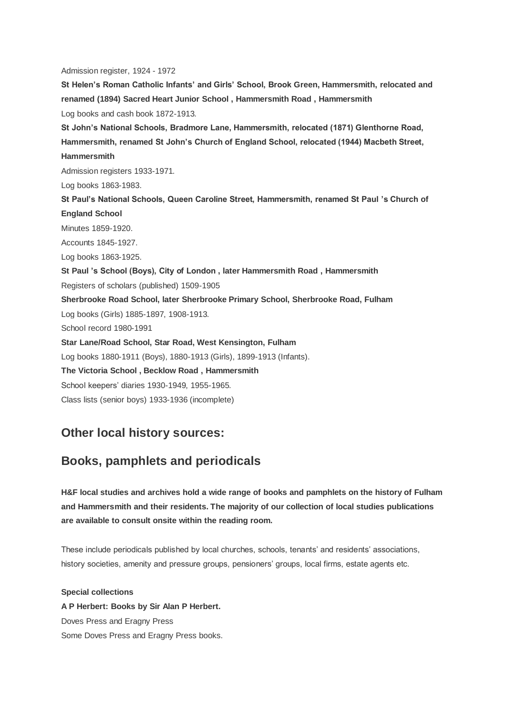Admission register, 1924 - 1972 **St Helen's Roman Catholic Infants' and Girls' School, Brook Green, Hammersmith, relocated and renamed (1894) Sacred Heart Junior School , Hammersmith Road , Hammersmith** Log books and cash book 1872-1913. **St John's National Schools, Bradmore Lane, Hammersmith, relocated (1871) Glenthorne Road, Hammersmith, renamed St John's Church of England School, relocated (1944) Macbeth Street, Hammersmith** Admission registers 1933-1971. Log books 1863-1983. **St Paul's National Schools, Queen Caroline Street, Hammersmith, renamed St Paul 's Church of England School** Minutes 1859-1920. Accounts 1845-1927. Log books 1863-1925. **St Paul 's School (Boys), City of London , later Hammersmith Road , Hammersmith** Registers of scholars (published) 1509-1905 **Sherbrooke Road School, later Sherbrooke Primary School, Sherbrooke Road, Fulham** Log books (Girls) 1885-1897, 1908-1913. School record 1980-1991 **Star Lane/Road School, Star Road, West Kensington, Fulham** Log books 1880-1911 (Boys), 1880-1913 (Girls), 1899-1913 (Infants). **The Victoria School , Becklow Road , Hammersmith** School keepers' diaries 1930-1949, 1955-1965. Class lists (senior boys) 1933-1936 (incomplete)

# **Other local history sources:**

# **Books, pamphlets and periodicals**

**H&F local studies and archives hold a wide range of books and pamphlets on the history of Fulham and Hammersmith and their residents. The majority of our collection of local studies publications are available to consult onsite within the reading room.**

These include periodicals published by local churches, schools, tenants' and residents' associations, history societies, amenity and pressure groups, pensioners' groups, local firms, estate agents etc.

**Special collections A P Herbert: Books by Sir Alan P Herbert.** Doves Press and Eragny Press Some Doves Press and Eragny Press books.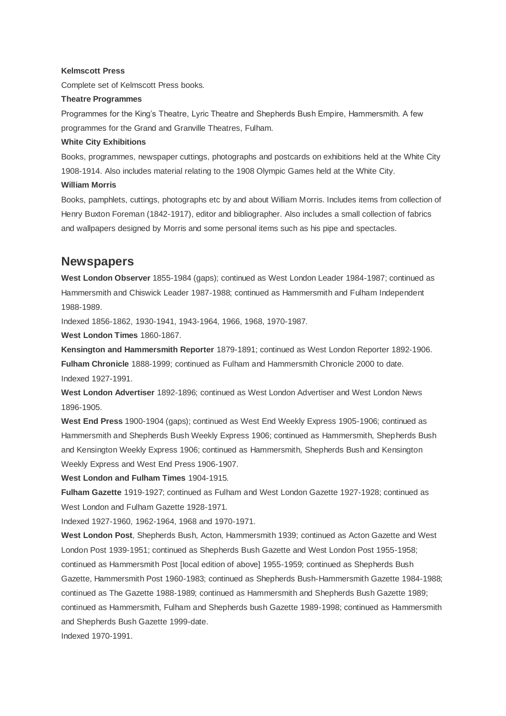### **Kelmscott Press**

Complete set of Kelmscott Press books.

#### **Theatre Programmes**

Programmes for the King's Theatre, Lyric Theatre and Shepherds Bush Empire, Hammersmith. A few programmes for the Grand and Granville Theatres, Fulham.

### **White City Exhibitions**

Books, programmes, newspaper cuttings, photographs and postcards on exhibitions held at the White City 1908-1914. Also includes material relating to the 1908 Olympic Games held at the White City.

#### **William Morris**

Books, pamphlets, cuttings, photographs etc by and about William Morris. Includes items from collection of Henry Buxton Foreman (1842-1917), editor and bibliographer. Also includes a small collection of fabrics and wallpapers designed by Morris and some personal items such as his pipe and spectacles.

## **Newspapers**

**West London Observer** 1855-1984 (gaps); continued as West London Leader 1984-1987; continued as Hammersmith and Chiswick Leader 1987-1988; continued as Hammersmith and Fulham Independent 1988-1989.

Indexed 1856-1862, 1930-1941, 1943-1964, 1966, 1968, 1970-1987.

**West London Times** 1860-1867.

**Kensington and Hammersmith Reporter** 1879-1891; continued as West London Reporter 1892-1906. **Fulham Chronicle** 1888-1999; continued as Fulham and Hammersmith Chronicle 2000 to date. Indexed 1927-1991.

**West London Advertiser** 1892-1896; continued as West London Advertiser and West London News 1896-1905.

**West End Press** 1900-1904 (gaps); continued as West End Weekly Express 1905-1906; continued as Hammersmith and Shepherds Bush Weekly Express 1906; continued as Hammersmith, Shepherds Bush and Kensington Weekly Express 1906; continued as Hammersmith, Shepherds Bush and Kensington Weekly Express and West End Press 1906-1907.

**West London and Fulham Times** 1904-1915.

**Fulham Gazette** 1919-1927; continued as Fulham and West London Gazette 1927-1928; continued as West London and Fulham Gazette 1928-1971.

Indexed 1927-1960, 1962-1964, 1968 and 1970-1971.

**West London Post**, Shepherds Bush, Acton, Hammersmith 1939; continued as Acton Gazette and West London Post 1939-1951; continued as Shepherds Bush Gazette and West London Post 1955-1958; continued as Hammersmith Post [local edition of above] 1955-1959; continued as Shepherds Bush Gazette, Hammersmith Post 1960-1983; continued as Shepherds Bush-Hammersmith Gazette 1984-1988; continued as The Gazette 1988-1989; continued as Hammersmith and Shepherds Bush Gazette 1989; continued as Hammersmith, Fulham and Shepherds bush Gazette 1989-1998; continued as Hammersmith and Shepherds Bush Gazette 1999-date.

Indexed 1970-1991.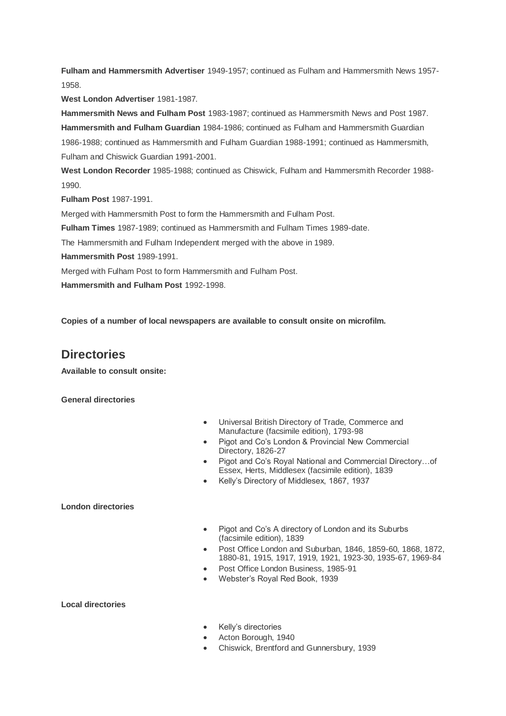**Fulham and Hammersmith Advertiser** 1949-1957; continued as Fulham and Hammersmith News 1957- 1958.

**West London Advertiser** 1981-1987.

**Hammersmith News and Fulham Post** 1983-1987; continued as Hammersmith News and Post 1987. **Hammersmith and Fulham Guardian** 1984-1986; continued as Fulham and Hammersmith Guardian 1986-1988; continued as Hammersmith and Fulham Guardian 1988-1991; continued as Hammersmith, Fulham and Chiswick Guardian 1991-2001.

**West London Recorder** 1985-1988; continued as Chiswick, Fulham and Hammersmith Recorder 1988-  $1990$ 

**Fulham Post** 1987-1991.

Merged with Hammersmith Post to form the Hammersmith and Fulham Post.

**Fulham Times** 1987-1989; continued as Hammersmith and Fulham Times 1989-date.

The Hammersmith and Fulham Independent merged with the above in 1989.

**Hammersmith Post** 1989-1991.

Merged with Fulham Post to form Hammersmith and Fulham Post.

**Hammersmith and Fulham Post** 1992-1998.

**Copies of a number of local newspapers are available to consult onsite on microfilm.**

# **Directories**

**Available to consult onsite:**

**General directories**

- Universal British Directory of Trade, Commerce and Manufacture (facsimile edition), 1793-98
- Pigot and Co's London & Provincial New Commercial Directory, 1826-27
- Pigot and Co's Royal National and Commercial Directory...of Essex, Herts, Middlesex (facsimile edition), 1839
- Kelly's Directory of Middlesex, 1867, 1937

## **London directories**

- Pigot and Co's A directory of London and its Suburbs (facsimile edition), 1839
- Post Office London and Suburban, 1846, 1859-60, 1868, 1872, 1880-81, 1915, 1917, 1919, 1921, 1923-30, 1935-67, 1969-84
- Post Office London Business, 1985-91
- Webster's Royal Red Book, 1939

**Local directories**

- Kelly's directories
- Acton Borough, 1940
- Chiswick, Brentford and Gunnersbury, 1939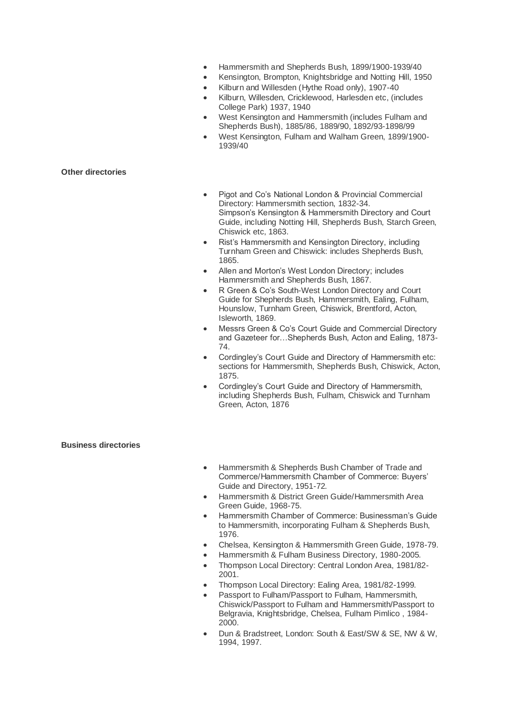- Hammersmith and Shepherds Bush, 1899/1900-1939/40
- Kensington, Brompton, Knightsbridge and Notting Hill, 1950
- Kilburn and Willesden (Hythe Road only), 1907-40
- Kilburn, Willesden, Cricklewood, Harlesden etc, (includes College Park) 1937, 1940
- West Kensington and Hammersmith (includes Fulham and Shepherds Bush), 1885/86, 1889/90, 1892/93-1898/99
- West Kensington, Fulham and Walham Green, 1899/1900- 1939/40

## **Other directories**

- Pigot and Co's National London & Provincial Commercial Directory: Hammersmith section, 1832-34. Simpson's Kensington & Hammersmith Directory and Court Guide, including Notting Hill, Shepherds Bush, Starch Green, Chiswick etc, 1863.
- Rist's Hammersmith and Kensington Directory, including Turnham Green and Chiswick: includes Shepherds Bush, 1865.
- Allen and Morton's West London Directory; includes Hammersmith and Shepherds Bush, 1867.
- R Green & Co's South-West London Directory and Court Guide for Shepherds Bush, Hammersmith, Ealing, Fulham, Hounslow, Turnham Green, Chiswick, Brentford, Acton, Isleworth, 1869.
- Messrs Green & Co's Court Guide and Commercial Directory and Gazeteer for…Shepherds Bush, Acton and Ealing, 1873- 74.
- Cordingley's Court Guide and Directory of Hammersmith etc: sections for Hammersmith, Shepherds Bush, Chiswick, Acton, 1875.
- Cordingley's Court Guide and Directory of Hammersmith, including Shepherds Bush, Fulham, Chiswick and Turnham Green, Acton, 1876

## **Business directories**

- Hammersmith & Shepherds Bush Chamber of Trade and Commerce/Hammersmith Chamber of Commerce: Buyers' Guide and Directory, 1951-72.
- Hammersmith & District Green Guide/Hammersmith Area Green Guide, 1968-75.
- Hammersmith Chamber of Commerce: Businessman's Guide to Hammersmith, incorporating Fulham & Shepherds Bush, 1976.
- Chelsea, Kensington & Hammersmith Green Guide, 1978-79.
- Hammersmith & Fulham Business Directory, 1980-2005.
- Thompson Local Directory: Central London Area, 1981/82- 2001.
- Thompson Local Directory: Ealing Area, 1981/82-1999.
- Passport to Fulham/Passport to Fulham, Hammersmith, Chiswick/Passport to Fulham and Hammersmith/Passport to Belgravia, Knightsbridge, Chelsea, Fulham Pimlico , 1984- 2000.
- Dun & Bradstreet, London: South & East/SW & SE, NW & W, 1994, 1997.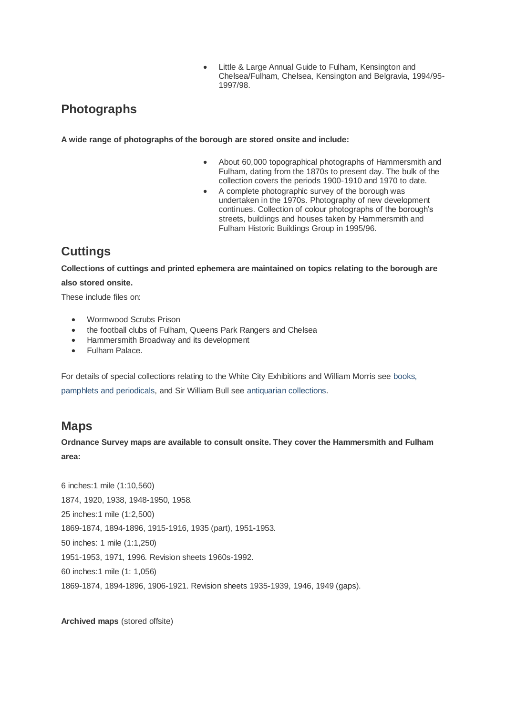Little & Large Annual Guide to Fulham, Kensington and Chelsea/Fulham, Chelsea, Kensington and Belgravia, 1994/95- 1997/98.

# **Photographs**

**A wide range of photographs of the borough are stored onsite and include:**

- About 60,000 topographical photographs of Hammersmith and Fulham, dating from the 1870s to present day. The bulk of the collection covers the periods 1900-1910 and 1970 to date.
- A complete photographic survey of the borough was undertaken in the 1970s. Photography of new development continues. Collection of colour photographs of the borough's streets, buildings and houses taken by Hammersmith and Fulham Historic Buildings Group in 1995/96.

# **Cuttings**

**Collections of cuttings and printed ephemera are maintained on topics relating to the borough are also stored onsite.**

These include files on:

- Wormwood Scrubs Prison
- the football clubs of Fulham, Queens Park Rangers and Chelsea
- Hammersmith Broadway and its development
- Fulham Palace.

For details of special collections relating to the White City Exhibitions and William Morris se[e books,](http://www.lbhf.gov.uk/Directory/Leisure_and_Culture/Libraries/Archives/23375_Books_Pamphlets_and_Periodicals.asp)  [pamphlets and periodicals,](http://www.lbhf.gov.uk/Directory/Leisure_and_Culture/Libraries/Archives/23375_Books_Pamphlets_and_Periodicals.asp) and Sir William Bull see [antiquarian collections.](http://www.lbhf.gov.uk/Directory/Leisure_and_Culture/Libraries/Archives/23467_Antiquarian_Collections.asp)

# **Maps**

**Ordnance Survey maps are available to consult onsite. They cover the Hammersmith and Fulham area:**

6 inches:1 mile (1:10,560) 1874, 1920, 1938, 1948-1950, 1958. 25 inches:1 mile (1:2,500) 1869-1874, 1894-1896, 1915-1916, 1935 (part), 1951**-**1953. 50 inches: 1 mile (1:1,250) 1951-1953, 1971, 1996. Revision sheets 1960s-1992. 60 inches:1 mile (1: 1,056) 1869-1874, 1894-1896, 1906-1921. Revision sheets 1935-1939, 1946, 1949 (gaps).

**Archived maps** (stored offsite)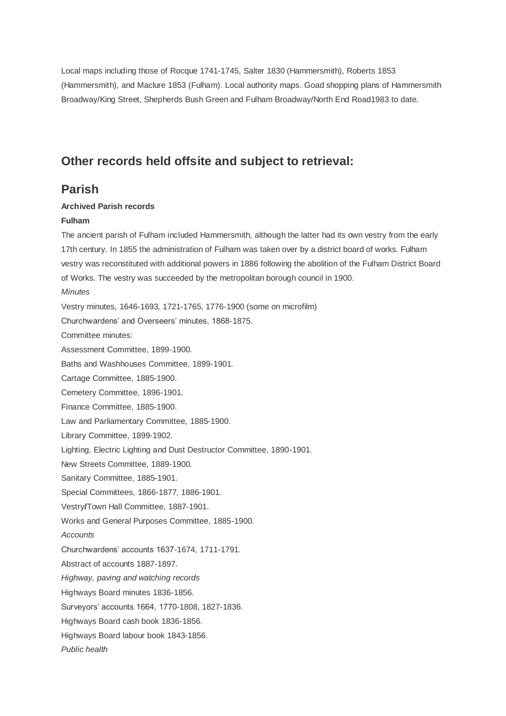Local maps including those of Rocque 1741-1745, Salter 1830 (Hammersmith), Roberts 1853 (Hammersmith), and Maclure 1853 (Fulham). Local authority maps. Goad shopping plans of Hammersmith Broadway/King Street, Shepherds Bush Green and Fulham Broadway/North End Road1983 to date.

## **Other records held offsite and subject to retrieval:**

## **Parish**

## **Archived Parish records**

### **Fulham**

The ancient parish of Fulham included Hammersmith, although the latter had its own vestry from the early 17th century. In 1855 the administration of Fulham was taken over by a district board of works. Fulham vestry was reconstituted with additional powers in 1886 following the abolition of the Fulham District Board of Works. The vestry was succeeded by the metropolitan borough council in 1900. *Minutes* Vestry minutes, 1646-1693, 1721-1765, 1776-1900 (some on microfilm) Churchwardens' and Overseers' minutes, 1868-1875. Committee minutes: Assessment Committee, 1899-1900. Baths and Washhouses Committee, 1899-1901. Cartage Committee, 1885-1900. Cemetery Committee, 1896-1901. Finance Committee, 1885-1900. Law and Parliamentary Committee, 1885-1900. Library Committee, 1899-1902. Lighting, Electric Lighting and Dust Destructor Committee, 1890-1901. New Streets Committee, 1889-1900. Sanitary Committee, 1885-1901. Special Committees, 1866-1877, 1886-1901. Vestry**/**Town Hall Committee, 1887-1901. Works and General Purposes Committee, 1885-1900. *Accounts* Churchwardens' accounts 1637-1674, 1711-1791. Abstract of accounts 1887-1897. *Highway, paving and watching records* Highways Board minutes 1836-1856. Surveyors' accounts 1664, 1770-1808, 1827-1836. Highways Board cash book 1836-1856. Highways Board labour book 1843-1856. *Public health*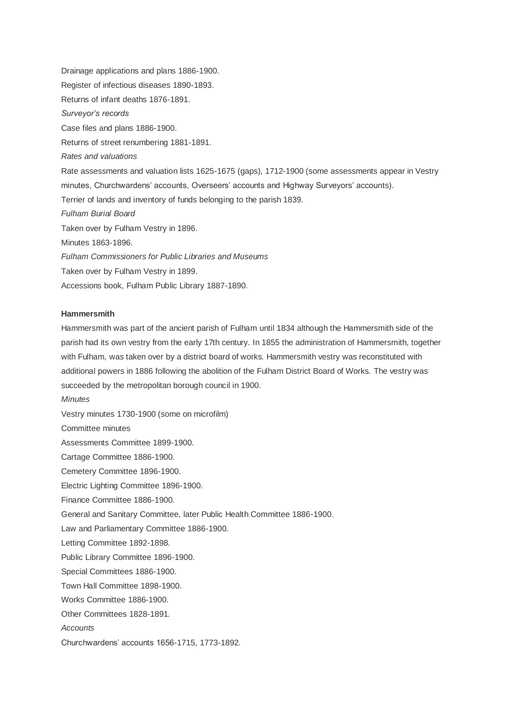Drainage applications and plans 1886-1900. Register of infectious diseases 1890-1893. Returns of infant deaths 1876-1891. *Surveyor's records* Case files and plans 1886-1900. Returns of street renumbering 1881-1891. *Rates and valuations* Rate assessments and valuation lists 1625-1675 (gaps), 1712-1900 (some assessments appear in Vestry minutes, Churchwardens' accounts, Overseers' accounts and Highway Surveyors' accounts). Terrier of lands and inventory of funds belonging to the parish 1839. *Fulham Burial Board* Taken over by Fulham Vestry in 1896. Minutes 1863-1896. *Fulham Commissioners for Public Libraries and Museums* Taken over by Fulham Vestry in 1899. Accessions book, Fulham Public Library 1887-1890.

### **Hammersmith**

Hammersmith was part of the ancient parish of Fulham until 1834 although the Hammersmith side of the parish had its own vestry from the early 17th century. In 1855 the administration of Hammersmith, together with Fulham, was taken over by a district board of works. Hammersmith vestry was reconstituted with additional powers in 1886 following the abolition of the Fulham District Board of Works. The vestry was succeeded by the metropolitan borough council in 1900.

*Minutes* Vestry minutes 1730-1900 (some on microfilm) Committee minutes Assessments Committee 1899-1900. Cartage Committee 1886-1900. Cemetery Committee 1896-1900. Electric Lighting Committee 1896-1900. Finance Committee 1886-1900. General and Sanitary Committee, later Public Health Committee 1886-1900. Law and Parliamentary Committee 1886-1900. Letting Committee 1892-1898. Public Library Committee 1896-1900. Special Committees 1886-1900. Town Hall Committee 1898-1900. Works Committee 1886-1900. Other Committees 1828-1891. *Accounts* Churchwardens' accounts 1656-1715, 1773-1892.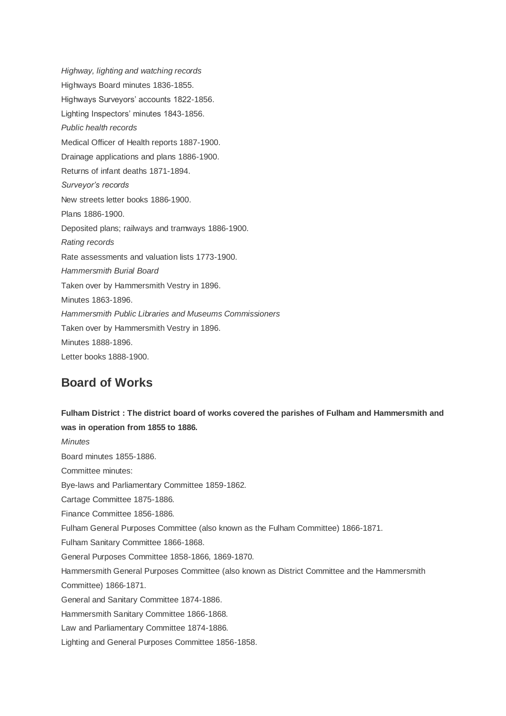*Highway, lighting and watching records* Highways Board minutes 1836-1855. Highways Surveyors' accounts 1822-1856. Lighting Inspectors' minutes 1843-1856. *Public health records* Medical Officer of Health reports 1887-1900. Drainage applications and plans 1886-1900. Returns of infant deaths 1871-1894. *Surveyor's records* New streets letter books 1886-1900. Plans 1886-1900. Deposited plans; railways and tramways 1886-1900. *Rating records* Rate assessments and valuation lists 1773-1900. *Hammersmith Burial Board* Taken over by Hammersmith Vestry in 1896. Minutes 1863-1896. *Hammersmith Public Libraries and Museums Commissioners* Taken over by Hammersmith Vestry in 1896. Minutes 1888-1896. Letter books 1888-1900.

# **Board of Works**

**Fulham District : The district board of works covered the parishes of Fulham and Hammersmith and was in operation from 1855 to 1886.**  *Minutes* Board minutes 1855-1886. Committee minutes: Bye-laws and Parliamentary Committee 1859-1862. Cartage Committee 1875-1886. Finance Committee 1856-1886. Fulham General Purposes Committee (also known as the Fulham Committee) 1866-1871. Fulham Sanitary Committee 1866-1868. General Purposes Committee 1858-1866, 1869-1870. Hammersmith General Purposes Committee (also known as District Committee and the Hammersmith Committee) 1866-1871. General and Sanitary Committee 1874-1886. Hammersmith Sanitary Committee 1866-1868. Law and Parliamentary Committee 1874-1886. Lighting and General Purposes Committee 1856-1858.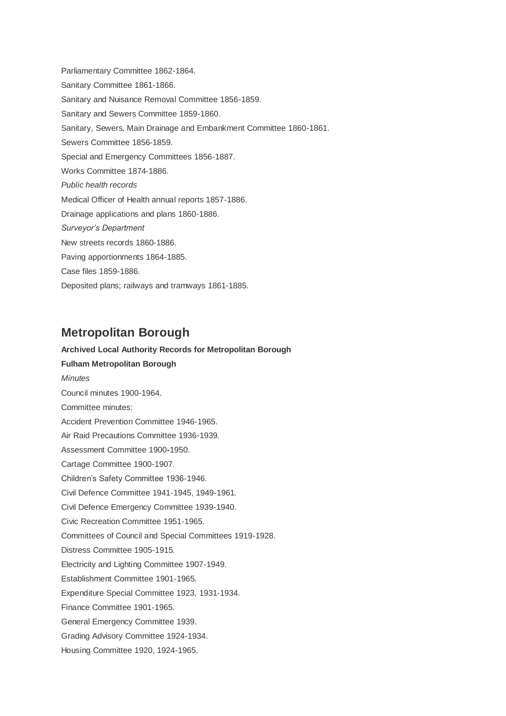Parliamentary Committee 1862-1864. Sanitary Committee 1861-1866. Sanitary and Nuisance Removal Committee 1856-1859. Sanitary and Sewers Committee 1859-1860. Sanitary, Sewers, Main Drainage and Embankment Committee 1860-1861. Sewers Committee 1856-1859. Special and Emergency Committees 1856-1887. Works Committee 1874-1886. *Public health records* Medical Officer of Health annual reports 1857-1886. Drainage applications and plans 1860-1886. *Surveyor's Department* New streets records 1860-1886. Paving apportionments 1864-1885. Case files 1859-1886. Deposited plans; railways and tramways 1861-1885.

# **Metropolitan Borough**

# **Archived Local Authority Records for Metropolitan Borough Fulham Metropolitan Borough** *Minutes* Council minutes 1900-1964. Committee minutes: Accident Prevention Committee 1946-1965. Air Raid Precautions Committee 1936-1939. Assessment Committee 1900**-**1950. Cartage Committee 1900-1907. Children's Safety Committee 1936-1946. Civil Defence Committee 1941-1945, 1949-1961. Civil Defence Emergency Committee 1939-1940. Civic Recreation Committee 1951-1965. Committees of Council and Special Committees 1919-1928. Distress Committee 1905-1915. Electricity and Lighting Committee 1907-1949. Establishment Committee 1901-1965. Expenditure Special Committee 1923, 1931-1934. Finance Committee 1901-1965. General Emergency Committee 1939. Grading Advisory Committee 1924-1934. Housing Committee 1920, 1924-1965.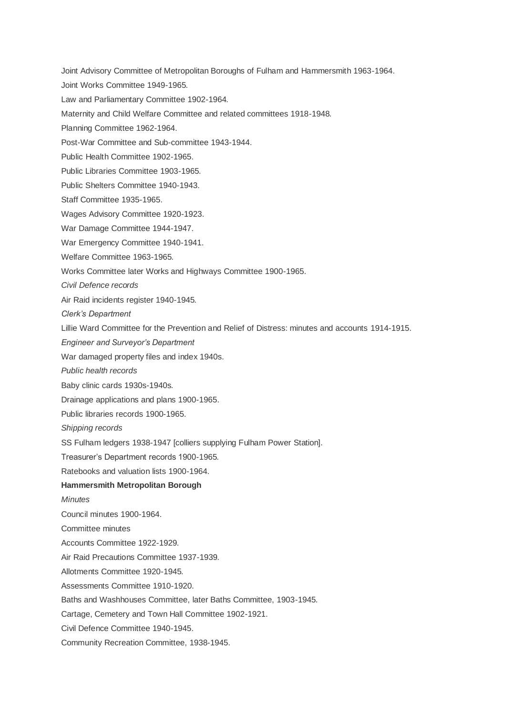Joint Advisory Committee of Metropolitan Boroughs of Fulham and Hammersmith 1963-1964. Joint Works Committee 1949-1965. Law and Parliamentary Committee 1902-1964.

Maternity and Child Welfare Committee and related committees 1918-1948.

Planning Committee 1962-1964.

Post-War Committee and Sub-committee 1943-1944.

Public Health Committee 1902-1965.

Public Libraries Committee 1903-1965.

Public Shelters Committee 1940-1943.

Staff Committee 1935-1965.

Wages Advisory Committee 1920-1923.

War Damage Committee 1944-1947.

War Emergency Committee 1940-1941.

Welfare Committee 1963-1965.

Works Committee later Works and Highways Committee 1900-1965.

*Civil Defence records*

Air Raid incidents register 1940-1945.

*Clerk's Department*

Lillie Ward Committee for the Prevention and Relief of Distress: minutes and accounts 1914-1915.

*Engineer and Surveyor's Department*

War damaged property files and index 1940s.

*Public health records*

Baby clinic cards 1930s-1940s.

Drainage applications and plans 1900-1965.

Public libraries records 1900-1965.

*Shipping records*

SS Fulham ledgers 1938-1947 [colliers supplying Fulham Power Station].

Treasurer's Department records 1900-1965.

Ratebooks and valuation lists 1900-1964.

#### **Hammersmith Metropolitan Borough**

*Minutes*

Council minutes 1900-1964.

Committee minutes

Accounts Committee 1922-1929.

Air Raid Precautions Committee 1937-1939.

Allotments Committee 1920-1945.

Assessments Committee 1910-1920.

Baths and Washhouses Committee, later Baths Committee, 1903-1945.

Cartage, Cemetery and Town Hall Committee 1902-1921.

Civil Defence Committee 1940-1945.

Community Recreation Committee, 1938-1945.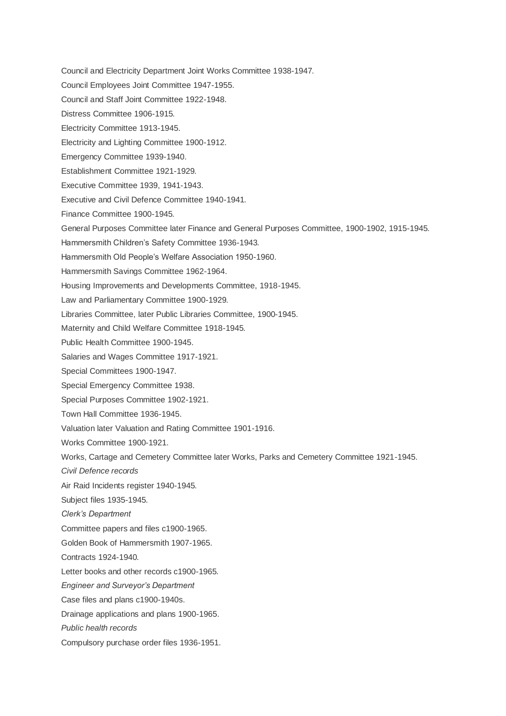- Council and Electricity Department Joint Works Committee 1938-1947.
- Council Employees Joint Committee 1947-1955.
- Council and Staff Joint Committee 1922-1948.
- Distress Committee 1906-1915.
- Electricity Committee 1913-1945.
- Electricity and Lighting Committee 1900-1912.
- Emergency Committee 1939-1940.
- Establishment Committee 1921-1929.
- Executive Committee 1939, 1941-1943.
- Executive and Civil Defence Committee 1940-1941.
- Finance Committee 1900-1945.
- General Purposes Committee later Finance and General Purposes Committee, 1900-1902, 1915-1945.
- Hammersmith Children's Safety Committee 1936-1943.
- Hammersmith Old People's Welfare Association 1950-1960.
- Hammersmith Savings Committee 1962-1964.
- Housing Improvements and Developments Committee, 1918-1945.
- Law and Parliamentary Committee 1900-1929.
- Libraries Committee, later Public Libraries Committee, 1900-1945.
- Maternity and Child Welfare Committee 1918-1945.
- Public Health Committee 1900-1945.
- Salaries and Wages Committee 1917-1921.
- Special Committees 1900-1947.
- Special Emergency Committee 1938.
- Special Purposes Committee 1902-1921.
- Town Hall Committee 1936-1945.
- Valuation later Valuation and Rating Committee 1901-1916.
- Works Committee 1900-1921.
- Works, Cartage and Cemetery Committee later Works, Parks and Cemetery Committee 1921-1945.
- *Civil Defence records*
- Air Raid Incidents register 1940-1945.
- Subject files 1935-1945.
- *Clerk's Department*
- Committee papers and files c1900-1965.
- Golden Book of Hammersmith 1907-1965.
- Contracts 1924-1940.
- Letter books and other records c1900-1965.
- *Engineer and Surveyor's Department*
- Case files and plans c1900-1940s.
- Drainage applications and plans 1900-1965.
- *Public health records*
- Compulsory purchase order files 1936-1951.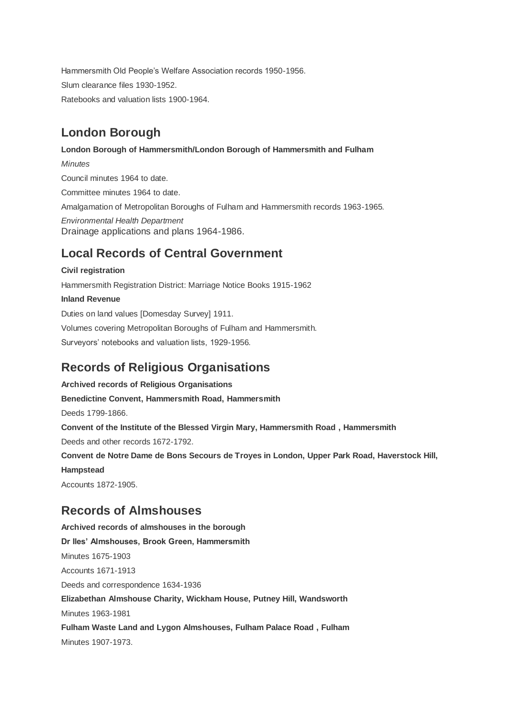Hammersmith Old People's Welfare Association records 1950-1956. Slum clearance files 1930-1952. Ratebooks and valuation lists 1900-1964.

# **London Borough**

## **London Borough of Hammersmith/London Borough of Hammersmith and Fulham**

*Minutes* Council minutes 1964 to date. Committee minutes 1964 to date. Amalgamation of Metropolitan Boroughs of Fulham and Hammersmith records 1963-1965. *Environmental Health Department* Drainage applications and plans 1964-1986.

# **Local Records of Central Government**

## **Civil registration**

Hammersmith Registration District: Marriage Notice Books 1915-1962 **Inland Revenue** Duties on land values [Domesday Survey] 1911. Volumes covering Metropolitan Boroughs of Fulham and Hammersmith. Surveyors' notebooks and valuation lists, 1929-1956.

# **Records of Religious Organisations**

**Archived records of Religious Organisations Benedictine Convent, Hammersmith Road, Hammersmith** Deeds 1799-1866. **Convent of the Institute of the Blessed Virgin Mary, Hammersmith Road , Hammersmith** Deeds and other records 1672-1792. **Convent de Notre Dame de Bons Secours de Troyes in London, Upper Park Road, Haverstock Hill, Hampstead** Accounts 1872-1905.

# **Records of Almshouses**

**Archived records of almshouses in the borough Dr Iles' Almshouses, Brook Green, Hammersmith** Minutes 1675-1903 Accounts 1671-1913 Deeds and correspondence 1634-1936 **Elizabethan Almshouse Charity, Wickham House, Putney Hill, Wandsworth** Minutes 1963-1981 **Fulham Waste Land and Lygon Almshouses, Fulham Palace Road , Fulham** Minutes 1907-1973.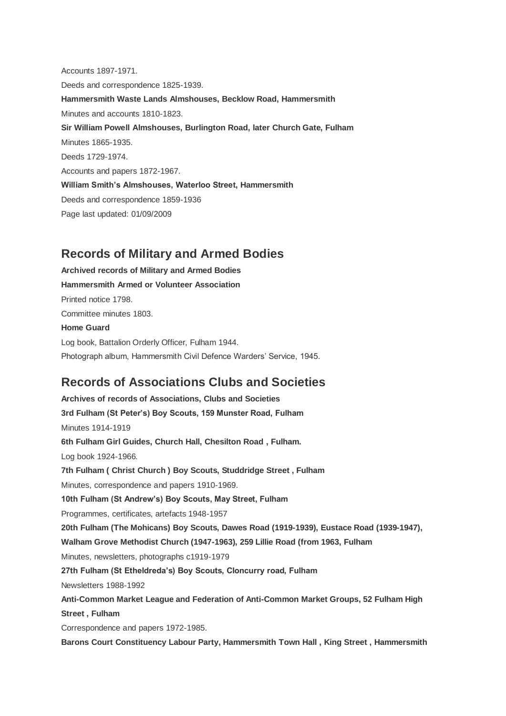Accounts 1897-1971. Deeds and correspondence 1825-1939. **Hammersmith Waste Lands Almshouses, Becklow Road, Hammersmith** Minutes and accounts 1810-1823. **Sir William Powell Almshouses, Burlington Road, later Church Gate, Fulham** Minutes 1865-1935. Deeds 1729-1974. Accounts and papers 1872-1967. **William Smith's Almshouses, Waterloo Street, Hammersmith** Deeds and correspondence 1859-1936 Page last updated: 01/09/2009

# **Records of Military and Armed Bodies**

**Archived records of Military and Armed Bodies Hammersmith Armed or Volunteer Association** Printed notice 1798. Committee minutes 1803. **Home Guard** Log book, Battalion Orderly Officer, Fulham 1944. Photograph album, Hammersmith Civil Defence Warders' Service, 1945.

# **Records of Associations Clubs and Societies**

**Archives of records of Associations, Clubs and Societies 3rd Fulham (St Peter's) Boy Scouts, 159 Munster Road, Fulham** Minutes 1914-1919 **6th Fulham Girl Guides, Church Hall, Chesilton Road , Fulham.** Log book 1924-1966. **7th Fulham ( Christ Church ) Boy Scouts, Studdridge Street , Fulham**  Minutes, correspondence and papers 1910-1969. **10th Fulham (St Andrew's) Boy Scouts, May Street, Fulham** Programmes, certificates, artefacts 1948-1957 **20th Fulham (The Mohicans) Boy Scouts, Dawes Road (1919-1939), Eustace Road (1939-1947), Walham Grove Methodist Church (1947-1963), 259 Lillie Road (from 1963, Fulham** Minutes, newsletters, photographs c1919-1979 **27th Fulham (St Etheldreda's) Boy Scouts, Cloncurry road, Fulham** Newsletters 1988-1992 **Anti-Common Market League and Federation of Anti-Common Market Groups, 52 Fulham High Street , Fulham** Correspondence and papers 1972-1985.

**Barons Court Constituency Labour Party, Hammersmith Town Hall , King Street , Hammersmith**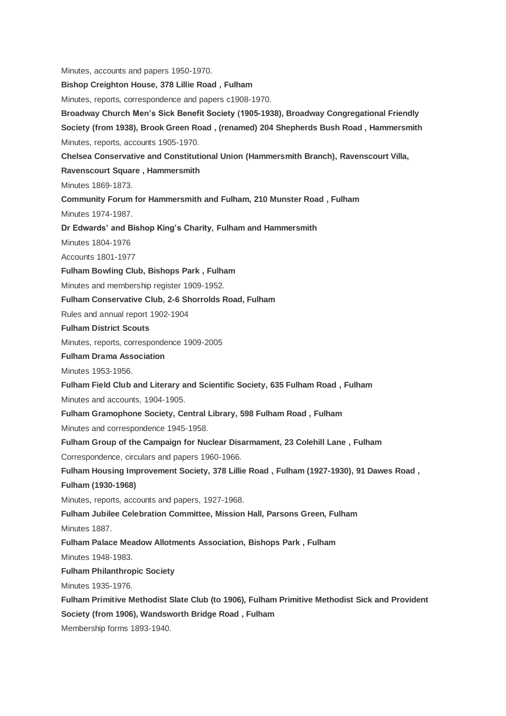Minutes, accounts and papers 1950-1970.

**Bishop Creighton House, 378 Lillie Road , Fulham**

Minutes, reports, correspondence and papers c1908-1970.

**Broadway Church Men's Sick Benefit Society (1905-1938), Broadway Congregational Friendly** 

**Society (from 1938), Brook Green Road , (renamed) 204 Shepherds Bush Road , Hammersmith** Minutes, reports, accounts 1905-1970.

**Chelsea Conservative and Constitutional Union (Hammersmith Branch), Ravenscourt Villa,** 

**Ravenscourt Square , Hammersmith**

Minutes 1869-1873.

**Community Forum for Hammersmith and Fulham, 210 Munster Road , Fulham**

Minutes 1974-1987.

**Dr Edwards' and Bishop King's Charity, Fulham and Hammersmith**

Minutes 1804-1976

Accounts 1801-1977

**Fulham Bowling Club, Bishops Park , Fulham**

Minutes and membership register 1909-1952.

**Fulham Conservative Club, 2-6 Shorrolds Road, Fulham**

Rules and annual report 1902-1904

**Fulham District Scouts**

Minutes, reports, correspondence 1909-2005

**Fulham Drama Association**

Minutes 1953-1956.

**Fulham Field Club and Literary and Scientific Society, 635 Fulham Road , Fulham**

Minutes and accounts, 1904-1905.

**Fulham Gramophone Society, Central Library, 598 Fulham Road , Fulham**

Minutes and correspondence 1945-1958.

**Fulham Group of the Campaign for Nuclear Disarmament, 23 Colehill Lane , Fulham**

Correspondence, circulars and papers 1960-1966.

**Fulham Housing Improvement Society, 378 Lillie Road , Fulham (1927-1930), 91 Dawes Road ,** 

**Fulham (1930-1968)**

Minutes, reports, accounts and papers, 1927-1968.

**Fulham Jubilee Celebration Committee, Mission Hall, Parsons Green, Fulham**

Minutes 1887.

**Fulham Palace Meadow Allotments Association, Bishops Park , Fulham**

Minutes 1948-1983.

**Fulham Philanthropic Society**

Minutes 1935-1976.

**Fulham Primitive Methodist Slate Club (to 1906), Fulham Primitive Methodist Sick and Provident** 

**Society (from 1906), Wandsworth Bridge Road , Fulham**

Membership forms 1893-1940.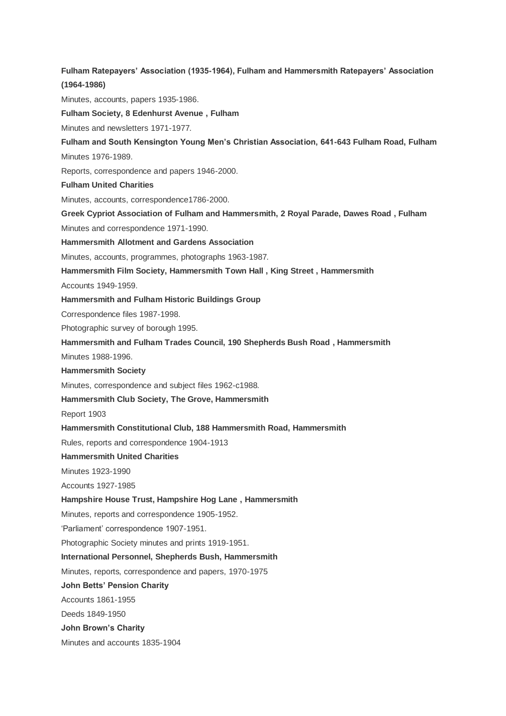**Fulham Ratepayers' Association (1935-1964), Fulham and Hammersmith Ratepayers' Association (1964-1986)** Minutes, accounts, papers 1935-1986. **Fulham Society, 8 Edenhurst Avenue , Fulham** Minutes and newsletters 1971-1977. **Fulham and South Kensington Young Men's Christian Association, 641-643 Fulham Road, Fulham** Minutes 1976-1989. Reports, correspondence and papers 1946-2000. **Fulham United Charities** Minutes, accounts, correspondence1786-2000. **Greek Cypriot Association of Fulham and Hammersmith, 2 Royal Parade, Dawes Road , Fulham** Minutes and correspondence 1971-1990. **Hammersmith Allotment and Gardens Association** Minutes, accounts, programmes, photographs 1963-1987. **Hammersmith Film Society, Hammersmith Town Hall , King Street , Hammersmith** Accounts 1949-1959. **Hammersmith and Fulham Historic Buildings Group** Correspondence files 1987-1998. Photographic survey of borough 1995. **Hammersmith and Fulham Trades Council, 190 Shepherds Bush Road , Hammersmith** Minutes 1988-1996. **Hammersmith Society** Minutes, correspondence and subject files 1962-c1988. **Hammersmith Club Society, The Grove, Hammersmith** Report 1903 **Hammersmith Constitutional Club, 188 Hammersmith Road, Hammersmith** Rules, reports and correspondence 1904-1913 **Hammersmith United Charities** Minutes 1923-1990 Accounts 1927-1985 **Hampshire House Trust, Hampshire Hog Lane , Hammersmith** Minutes, reports and correspondence 1905-1952. 'Parliament' correspondence 1907-1951. Photographic Society minutes and prints 1919-1951. **International Personnel, Shepherds Bush, Hammersmith** Minutes, reports, correspondence and papers, 1970-1975 **John Betts' Pension Charity** Accounts 1861-1955 Deeds 1849-1950 **John Brown's Charity** Minutes and accounts 1835-1904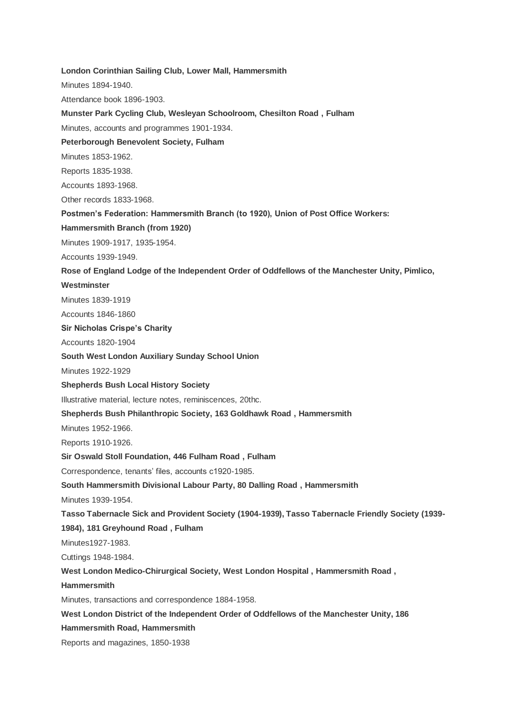**London Corinthian Sailing Club, Lower Mall, Hammersmith**

Minutes 1894-1940.

Attendance book 1896-1903.

#### **Munster Park Cycling Club, Wesleyan Schoolroom, Chesilton Road , Fulham**

Minutes, accounts and programmes 1901-1934.

**Peterborough Benevolent Society, Fulham**

Minutes 1853-1962.

Reports 1835-1938.

Accounts 1893-1968.

Other records 1833-1968.

**Postmen's Federation: Hammersmith Branch (to 1920), Union of Post Office Workers:** 

**Hammersmith Branch (from 1920)**

Minutes 1909-1917, 1935-1954.

Accounts 1939-1949.

**Rose of England Lodge of the Independent Order of Oddfellows of the Manchester Unity, Pimlico,** 

#### **Westminster**

Minutes 1839-1919

Accounts 1846-1860

**Sir Nicholas Crispe's Charity**

Accounts 1820-1904

**South West London Auxiliary Sunday School Union**

Minutes 1922-1929

**Shepherds Bush Local History Society**

Illustrative material, lecture notes, reminiscences, 20thc.

**Shepherds Bush Philanthropic Society, 163 Goldhawk Road , Hammersmith**

Minutes 1952-1966.

Reports 1910-1926.

**Sir Oswald Stoll Foundation, 446 Fulham Road , Fulham** 

Correspondence, tenants' files, accounts c1920-1985.

**South Hammersmith Divisional Labour Party, 80 Dalling Road , Hammersmith**

Minutes 1939-1954.

**Tasso Tabernacle Sick and Provident Society (1904-1939), Tasso Tabernacle Friendly Society (1939-**

**1984), 181 Greyhound Road , Fulham**

Minutes1927-1983.

Cuttings 1948-1984.

**West London Medico-Chirurgical Society, West London Hospital , Hammersmith Road ,** 

**Hammersmith**

Minutes, transactions and correspondence 1884-1958.

**West London District of the Independent Order of Oddfellows of the Manchester Unity, 186** 

**Hammersmith Road, Hammersmith**

Reports and magazines, 1850-1938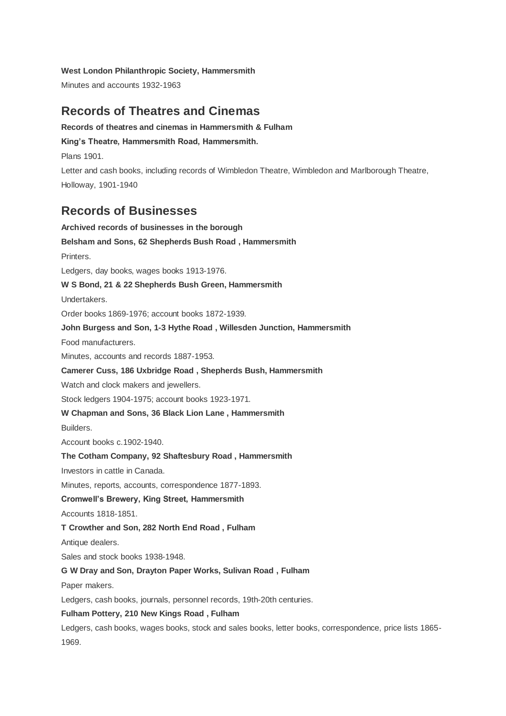**West London Philanthropic Society, Hammersmith**

Minutes and accounts 1932-1963

# **Records of Theatres and Cinemas**

**Records of theatres and cinemas in Hammersmith & Fulham King's Theatre, Hammersmith Road, Hammersmith.** Plans 1901. Letter and cash books, including records of Wimbledon Theatre, Wimbledon and Marlborough Theatre, Holloway, 1901-1940

# **Records of Businesses**

**Archived records of businesses in the borough Belsham and Sons, 62 Shepherds Bush Road , Hammersmith** Printers. Ledgers, day books, wages books 1913-1976. **W S Bond, 21 & 22 Shepherds Bush Green, Hammersmith** Undertakers. Order books 1869-1976; account books 1872-1939. **John Burgess and Son, 1-3 Hythe Road , Willesden Junction, Hammersmith** Food manufacturers. Minutes, accounts and records 1887-1953. **Camerer Cuss, 186 Uxbridge Road , Shepherds Bush, Hammersmith** Watch and clock makers and jewellers. Stock ledgers 1904-1975; account books 1923-1971. **W Chapman and Sons, 36 Black Lion Lane , Hammersmith Builders** Account books c.1902-1940. **The Cotham Company, 92 Shaftesbury Road , Hammersmith**  Investors in cattle in Canada. Minutes, reports, accounts, correspondence 1877-1893. **Cromwell's Brewery, King Street, Hammersmith** Accounts 1818-1851. **T Crowther and Son, 282 North End Road , Fulham** Antique dealers. Sales and stock books 1938-1948. **G W Dray and Son, Drayton Paper Works, Sulivan Road , Fulham** Paper makers. Ledgers, cash books, journals, personnel records, 19th-20th centuries. **Fulham Pottery, 210 New Kings Road , Fulham** Ledgers, cash books, wages books, stock and sales books, letter books, correspondence, price lists 1865- 1969.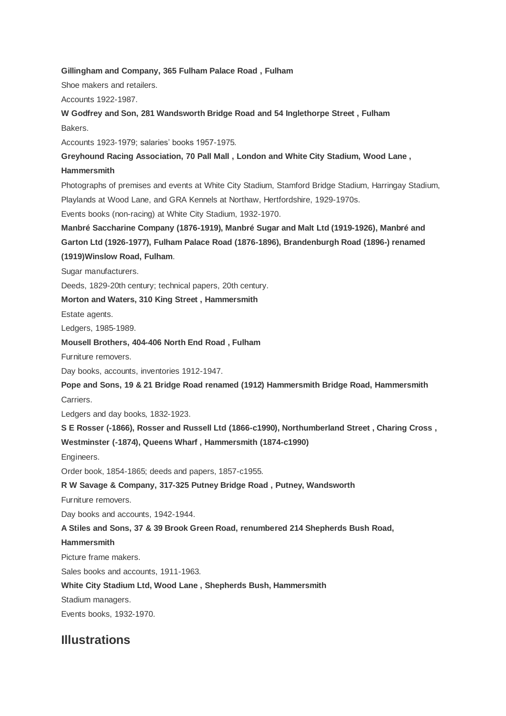### **Gillingham and Company, 365 Fulham Palace Road , Fulham**

Shoe makers and retailers.

Accounts 1922-1987.

**W Godfrey and Son, 281 Wandsworth Bridge Road and 54 Inglethorpe Street , Fulham** Bakers.

Accounts 1923-1979; salaries' books 1957-1975.

**Greyhound Racing Association, 70 Pall Mall , London and White City Stadium, Wood Lane , Hammersmith**

Photographs of premises and events at White City Stadium, Stamford Bridge Stadium, Harringay Stadium, Playlands at Wood Lane, and GRA Kennels at Northaw, Hertfordshire, 1929-1970s.

Events books (non-racing) at White City Stadium, 1932-1970.

**Manbré Saccharine Company (1876-1919), Manbré Sugar and Malt Ltd (1919-1926), Manbré and Garton Ltd (1926-1977), Fulham Palace Road (1876-1896), Brandenburgh Road (1896-) renamed** 

## **(1919)Winslow Road, Fulham**.

Sugar manufacturers.

Deeds, 1829-20th century; technical papers, 20th century.

### **Morton and Waters, 310 King Street , Hammersmith**

Estate agents.

Ledgers, 1985-1989.

### **Mousell Brothers, 404-406 North End Road , Fulham**

Furniture removers.

Day books, accounts, inventories 1912-1947.

**Pope and Sons, 19 & 21 Bridge Road renamed (1912) Hammersmith Bridge Road, Hammersmith** Carriers.

Ledgers and day books, 1832-1923.

**S E Rosser (-1866), Rosser and Russell Ltd (1866-c1990), Northumberland Street , Charing Cross ,** 

**Westminster (-1874), Queens Wharf , Hammersmith (1874-c1990)**

Engineers.

Order book, 1854-1865; deeds and papers, 1857-c1955.

**R W Savage & Company, 317-325 Putney Bridge Road , Putney, Wandsworth**

Furniture removers.

Day books and accounts, 1942-1944.

**A Stiles and Sons, 37 & 39 Brook Green Road, renumbered 214 Shepherds Bush Road,** 

### **Hammersmith**

Picture frame makers.

Sales books and accounts, 1911-1963.

**White City Stadium Ltd, Wood Lane , Shepherds Bush, Hammersmith**

Stadium managers.

Events books, 1932-1970.

# **Illustrations**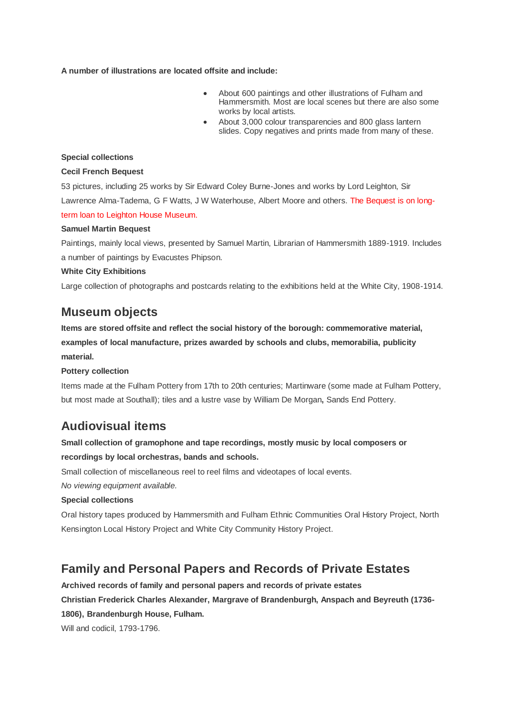**A number of illustrations are located offsite and include:**

- About 600 paintings and other illustrations of Fulham and Hammersmith. Most are local scenes but there are also some works by local artists.
- About 3,000 colour transparencies and 800 glass lantern slides. Copy negatives and prints made from many of these.

### **Special collections**

### **Cecil French Bequest**

53 pictures, including 25 works by Sir Edward Coley Burne-Jones and works by Lord Leighton, Sir Lawrence Alma-Tadema, G F Watts, J W Waterhouse, Albert Moore and others. The Bequest is on longterm loan to Leighton House Museum.

### **Samuel Martin Bequest**

Paintings, mainly local views, presented by Samuel Martin, Librarian of Hammersmith 1889-1919. Includes a number of paintings by Evacustes Phipson.

### **White City Exhibitions**

Large collection of photographs and postcards relating to the exhibitions held at the White City, 1908-1914.

## **Museum objects**

**Items are stored offsite and reflect the social history of the borough: commemorative material, examples of local manufacture, prizes awarded by schools and clubs, memorabilia, publicity material.**

## **Pottery collection**

Items made at the Fulham Pottery from 17th to 20th centuries; Martinware (some made at Fulham Pottery, but most made at Southall); tiles and a lustre vase by William De Morgan**,** Sands End Pottery.

# **Audiovisual items**

## **Small collection of gramophone and tape recordings, mostly music by local composers or recordings by local orchestras, bands and schools.**

Small collection of miscellaneous reel to reel films and videotapes of local events.

*No viewing equipment available.*

## **Special collections**

Oral history tapes produced by Hammersmith and Fulham Ethnic Communities Oral History Project, North Kensington Local History Project and White City Community History Project.

# **Family and Personal Papers and Records of Private Estates**

**Archived records of family and personal papers and records of private estates Christian Frederick Charles Alexander, Margrave of Brandenburgh, Anspach and Beyreuth (1736- 1806), Brandenburgh House, Fulham.** 

Will and codicil, 1793-1796.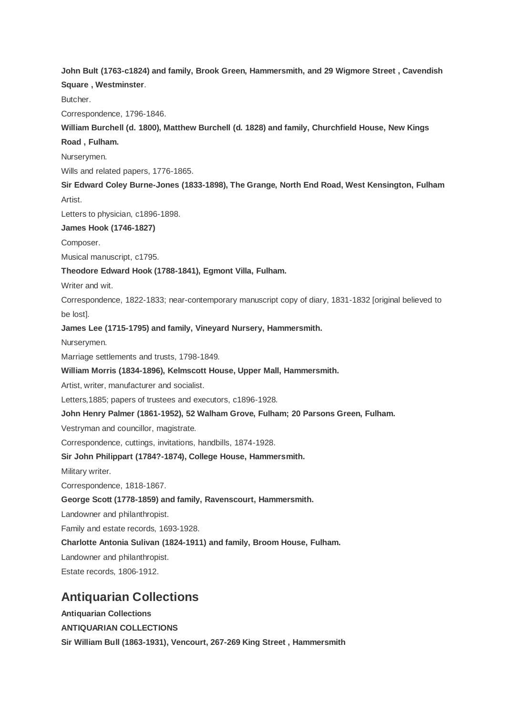**John Bult (1763-c1824) and family, Brook Green, Hammersmith, and 29 Wigmore Street , Cavendish Square , Westminster**.

Butcher.

Correspondence, 1796-1846.

**William Burchell (d. 1800), Matthew Burchell (d. 1828) and family, Churchfield House, New Kings** 

**Road , Fulham.**

Nurserymen.

Wills and related papers, 1776-1865.

**Sir Edward Coley Burne-Jones (1833-1898), The Grange, North End Road, West Kensington, Fulham** Artist.

Letters to physician, c1896-1898.

**James Hook (1746-1827)**

Composer.

Musical manuscript, c1795.

**Theodore Edward Hook (1788-1841), Egmont Villa, Fulham.**

Writer and wit.

Correspondence, 1822-1833; near-contemporary manuscript copy of diary, 1831-1832 [original believed to be lost].

**James Lee (1715-1795) and family, Vineyard Nursery, Hammersmith.**

Nurserymen.

Marriage settlements and trusts, 1798-1849.

**William Morris (1834-1896), Kelmscott House, Upper Mall, Hammersmith.**

Artist, writer, manufacturer and socialist.

Letters,1885; papers of trustees and executors, c1896-1928.

**John Henry Palmer (1861-1952), 52 Walham Grove, Fulham; 20 Parsons Green, Fulham.**

Vestryman and councillor, magistrate.

Correspondence, cuttings, invitations, handbills, 1874-1928.

**Sir John Philippart (1784?-1874), College House, Hammersmith.**

Military writer.

Correspondence, 1818-1867.

**George Scott (1778-1859) and family, Ravenscourt, Hammersmith.**

Landowner and philanthropist.

Family and estate records, 1693-1928.

**Charlotte Antonia Sulivan (1824-1911) and family, Broom House, Fulham.**

Landowner and philanthropist.

Estate records, 1806-1912.

## **Antiquarian Collections**

**Antiquarian Collections ANTIQUARIAN COLLECTIONS**

**Sir William Bull (1863-1931), Vencourt, 267-269 King Street , Hammersmith**